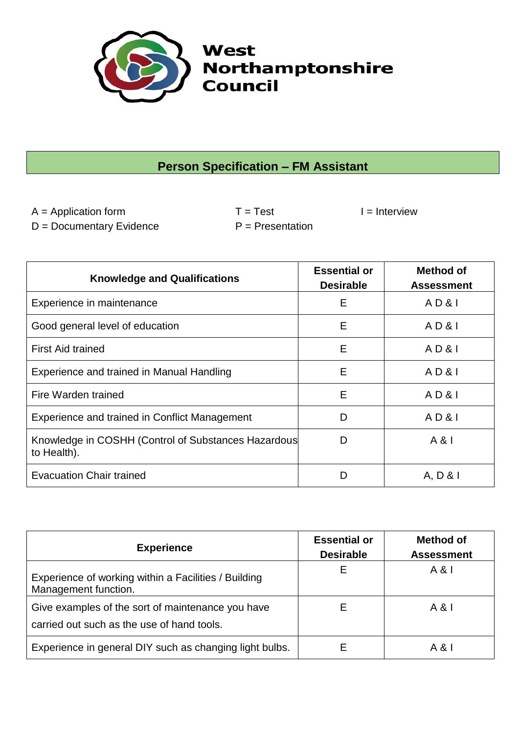

## **Person Specification – FM Assistant**

 $A =$  Application form  $T = Test$   $I =$  Interview  $D = Doc$ umentary Evidence  $P = Presentation$ 

| <b>Knowledge and Qualifications</b>                                | <b>Essential or</b><br><b>Desirable</b> | <b>Method of</b><br><b>Assessment</b> |
|--------------------------------------------------------------------|-----------------------------------------|---------------------------------------|
| Experience in maintenance                                          | E                                       | AD&I                                  |
| Good general level of education                                    | Е                                       | AD&I                                  |
| <b>First Aid trained</b>                                           | Е                                       | AD&I                                  |
| Experience and trained in Manual Handling                          | E                                       | AD&I                                  |
| Fire Warden trained                                                | Е                                       | AD&I                                  |
| Experience and trained in Conflict Management                      | D                                       | AD&I                                  |
| Knowledge in COSHH (Control of Substances Hazardous<br>to Health). | D                                       | A & I                                 |
| <b>Evacuation Chair trained</b>                                    |                                         | A, D &                                |

| <b>Experience</b>                                                                               | <b>Essential or</b><br><b>Desirable</b> | <b>Method of</b><br><b>Assessment</b> |
|-------------------------------------------------------------------------------------------------|-----------------------------------------|---------------------------------------|
| Experience of working within a Facilities / Building<br>Management function.                    | E                                       | A &                                   |
| Give examples of the sort of maintenance you have<br>carried out such as the use of hand tools. | Е                                       | A &                                   |
| Experience in general DIY such as changing light bulbs.                                         | E                                       | A & I                                 |